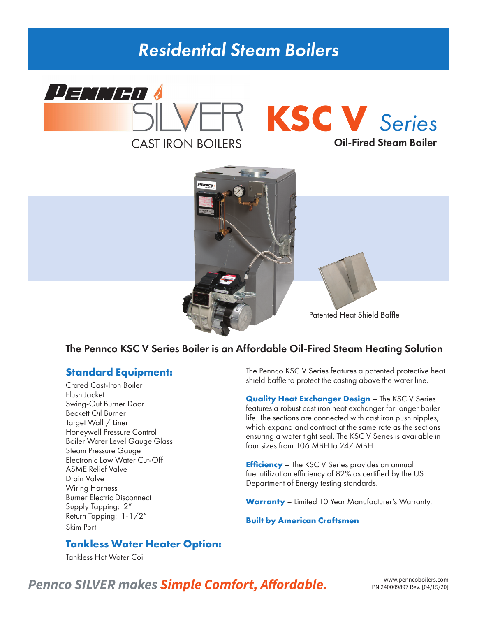## *Residential Steam Boilers*





Patented Heat Shield Baffle

### The Pennco KSC V Series Boiler is an Affordable Oil-Fired Steam Heating Solution

#### **Standard Equipment:**

Crated Cast-Iron Boiler Flush Jacket Swing-Out Burner Door Beckett Oil Burner Target Wall / Liner Honeywell Pressure Control Boiler Water Level Gauge Glass Steam Pressure Gauge Electronic Low Water Cut-Off ASME Relief Valve Drain Valve Wiring Harness Burner Electric Disconnect Supply Tapping: 2" Return Tapping: 1-1/2" Skim Port

The Pennco KSC V Series features a patented protective heat shield baffle to protect the casting above the water line.

**Quality Heat Exchanger Design** – The KSC V Series features a robust cast iron heat exchanger for longer boiler life. The sections are connected with cast iron push nipples, which expand and contract at the same rate as the sections ensuring a water tight seal. The KSC V Series is available in four sizes from 106 MBH to 247 MBH.

**Efficiency** – The KSC V Series provides an annual fuel utilization efficiency of 82% as certified by the US Department of Energy testing standards.

**Warranty** – Limited 10 Year Manufacturer's Warranty.

#### **Built by American Craftsmen**

#### **Tankless Water Heater Option:**

Tankless Hot Water Coil

## Pennco SILVER makes **Simple Comfort, Affordable.** PRESCRIPTION PN 240009897 Rev. [04/15/20]